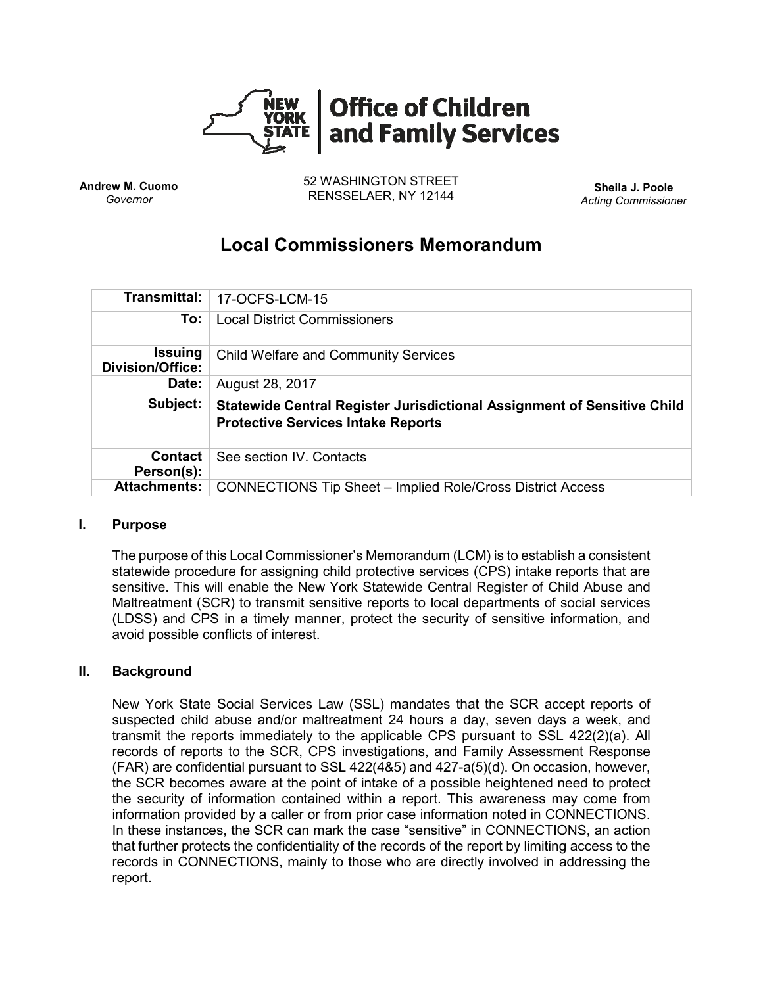

**Andrew M. Cuomo** *Governor*

52 WASHINGTON STREET RENSSELAER, NY 12144 **Sheila J. Poole**

*Acting Commissioner*

# **Local Commissioners Memorandum**

| Transmittal:                              | 17-OCFS-LCM-15                                                                                                       |
|-------------------------------------------|----------------------------------------------------------------------------------------------------------------------|
| To:                                       | <b>Local District Commissioners</b>                                                                                  |
| <b>Issuing</b><br><b>Division/Office:</b> | <b>Child Welfare and Community Services</b>                                                                          |
| Date:                                     | August 28, 2017                                                                                                      |
| Subject:                                  | Statewide Central Register Jurisdictional Assignment of Sensitive Child<br><b>Protective Services Intake Reports</b> |
| <b>Contact</b><br>Person(s):              | See section IV. Contacts                                                                                             |
| <b>Attachments:</b>                       | <b>CONNECTIONS Tip Sheet - Implied Role/Cross District Access</b>                                                    |

# **I. Purpose**

The purpose of this Local Commissioner's Memorandum (LCM) is to establish a consistent statewide procedure for assigning child protective services (CPS) intake reports that are sensitive. This will enable the New York Statewide Central Register of Child Abuse and Maltreatment (SCR) to transmit sensitive reports to local departments of social services (LDSS) and CPS in a timely manner, protect the security of sensitive information, and avoid possible conflicts of interest.

# **II. Background**

New York State Social Services Law (SSL) mandates that the SCR accept reports of suspected child abuse and/or maltreatment 24 hours a day, seven days a week, and transmit the reports immediately to the applicable CPS pursuant to SSL 422(2)(a). All records of reports to the SCR, CPS investigations, and Family Assessment Response (FAR) are confidential pursuant to SSL 422(4&5) and 427-a(5)(d). On occasion, however, the SCR becomes aware at the point of intake of a possible heightened need to protect the security of information contained within a report. This awareness may come from information provided by a caller or from prior case information noted in CONNECTIONS. In these instances, the SCR can mark the case "sensitive" in CONNECTIONS, an action that further protects the confidentiality of the records of the report by limiting access to the records in CONNECTIONS, mainly to those who are directly involved in addressing the report.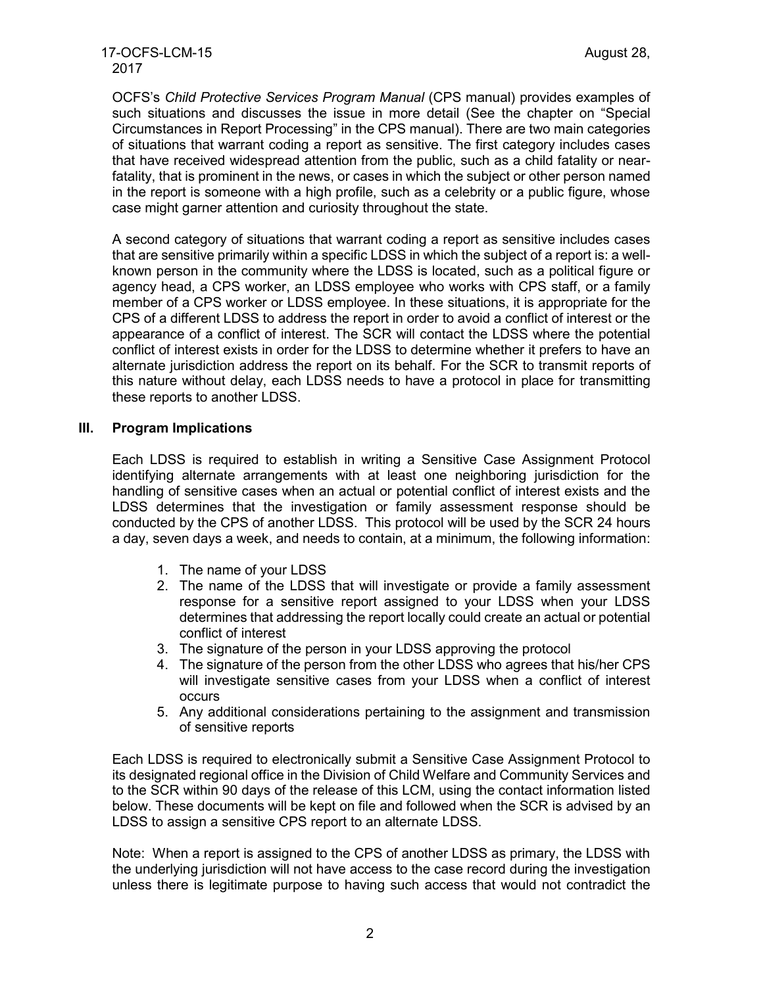OCFS's *Child Protective Services Program Manual* (CPS manual) provides examples of such situations and discusses the issue in more detail (See the chapter on "Special Circumstances in Report Processing" in the CPS manual). There are two main categories of situations that warrant coding a report as sensitive. The first category includes cases that have received widespread attention from the public, such as a child fatality or nearfatality, that is prominent in the news, or cases in which the subject or other person named in the report is someone with a high profile, such as a celebrity or a public figure, whose case might garner attention and curiosity throughout the state.

A second category of situations that warrant coding a report as sensitive includes cases that are sensitive primarily within a specific LDSS in which the subject of a report is: a wellknown person in the community where the LDSS is located, such as a political figure or agency head, a CPS worker, an LDSS employee who works with CPS staff, or a family member of a CPS worker or LDSS employee. In these situations, it is appropriate for the CPS of a different LDSS to address the report in order to avoid a conflict of interest or the appearance of a conflict of interest. The SCR will contact the LDSS where the potential conflict of interest exists in order for the LDSS to determine whether it prefers to have an alternate jurisdiction address the report on its behalf. For the SCR to transmit reports of this nature without delay, each LDSS needs to have a protocol in place for transmitting these reports to another LDSS.

### **III. Program Implications**

Each LDSS is required to establish in writing a Sensitive Case Assignment Protocol identifying alternate arrangements with at least one neighboring jurisdiction for the handling of sensitive cases when an actual or potential conflict of interest exists and the LDSS determines that the investigation or family assessment response should be conducted by the CPS of another LDSS. This protocol will be used by the SCR 24 hours a day, seven days a week, and needs to contain, at a minimum, the following information:

- 1. The name of your LDSS
- 2. The name of the LDSS that will investigate or provide a family assessment response for a sensitive report assigned to your LDSS when your LDSS determines that addressing the report locally could create an actual or potential conflict of interest
- 3. The signature of the person in your LDSS approving the protocol
- 4. The signature of the person from the other LDSS who agrees that his/her CPS will investigate sensitive cases from your LDSS when a conflict of interest occurs
- 5. Any additional considerations pertaining to the assignment and transmission of sensitive reports

Each LDSS is required to electronically submit a Sensitive Case Assignment Protocol to its designated regional office in the Division of Child Welfare and Community Services and to the SCR within 90 days of the release of this LCM, using the contact information listed below. These documents will be kept on file and followed when the SCR is advised by an LDSS to assign a sensitive CPS report to an alternate LDSS.

Note: When a report is assigned to the CPS of another LDSS as primary, the LDSS with the underlying jurisdiction will not have access to the case record during the investigation unless there is legitimate purpose to having such access that would not contradict the